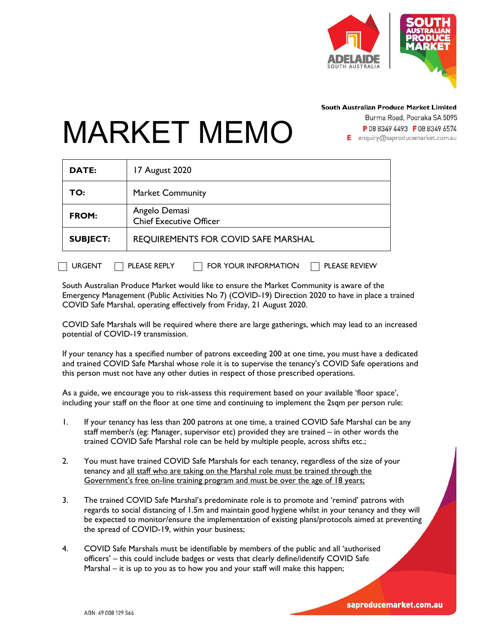

South Australian Produce Market Limited

Burma Road, Pooraka SA 5095 P0883494493 F0883496574 **E** enquiry@saproducemarket.com.au

MARKET MEMO

| DATE:           | 17 August 2020                                  |
|-----------------|-------------------------------------------------|
| TO:             | <b>Market Community</b>                         |
| FROM:           | Angelo Demasi<br><b>Chief Executive Officer</b> |
| <b>SUBJECT:</b> | <b>REQUIREMENTS FOR COVID SAFE MARSHAL</b>      |
|                 |                                                 |

 $\Box$  urgent  $\Box$  please reply  $\Box$  for your information  $\Box$  please review

South Australian Produce Market would like to ensure the Market Community is aware of the Emergency Management (Public Activities No 7) (COVID-19) Direction 2020 to have in place a trained

COVID Safe Marshal, operating effectively from Friday, 21 August 2020. COVID Safe Marshals will be required where there are large gatherings, which may lead to an increased

If your tenancy has a specified number of patrons exceeding 200 at one time, you must have a dedicated and trained COVID Safe Marshal whose role it is to supervise the tenancy's COVID Safe operations and this person must not have any other duties in respect of those prescribed operations.

As a guide, we encourage you to risk-assess this requirement based on your available 'floor space', including your staff on the floor at one time and continuing to implement the 2sqm per person rule:

- 1. If your tenancy has less than 200 patrons at one time, a trained COVID Safe Marshal can be any staff member/s (eg: Manager, supervisor etc) provided they are trained – in other words the trained COVID Safe Marshal role can be held by multiple people, across shifts etc.;
- 2. You must have trained COVID Safe Marshals for each tenancy, regardless of the size of your tenancy and all staff who are taking on the Marshal role must be trained through the Government's free on-line training program and must be over the age of 18 years;
- 3. The trained COVID Safe Marshal's predominate role is to promote and 'remind' patrons with regards to social distancing of 1.5m and maintain good hygiene whilst in your tenancy and they will be expected to monitor/ensure the implementation of existing plans/protocols aimed at preventing the spread of COVID-19, within your business;
- 4. COVID Safe Marshals must be identifiable by members of the public and all 'authorised officers' – this could include badges or vests that clearly define/identify COVID Safe Marshal – it is up to you as to how you and your staff will make this happen;

potential of COVID-19 transmission.

saproducemarket.com.au